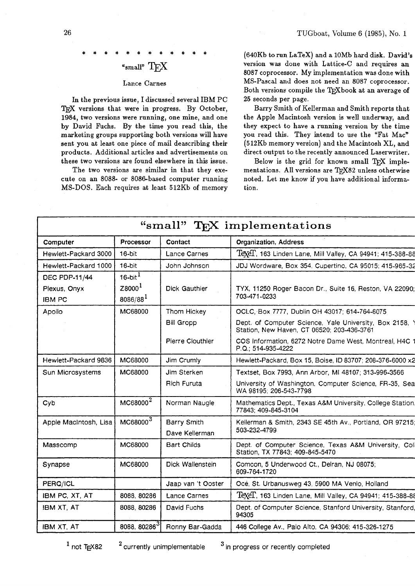# " $_{\text{small}}$ "T $_{\text{F}}$ X

## Lance Carnes

In the previous issue, I discussed several IBM PC TEX versions that were in progress. By October, 1984, two versions were running, one mine, and one by David Fuchs. By the time you read this, the marketing groups supporting both versions will have sent you at least one piece of mail deascribing their products. Additional articles and advertisements on these two versions are found elsewhere in this issue.

The two versions are similar in that they execute on an 8088- or 8086-based computer running MS-DOS. Each requires at least 512Kb of memory (640Kb to run LaTeX) and a lOMb hard disk. David's version was done with Lattice-C and requires an 8087 coprocessor. My implementation was done with MS-Pascal and does not need an 8087 coprocessor. Both versions compile the T<sub>E</sub>Xbook at an average of 25 seconds per page.

Barry Smith of Kellerman and Smith reports that the Apple Macintosh version is well underway, and they expect to have a running version by the time you read this. They intend to use the "Fat Mac" (512Kb memory version) and the Macintosh XL, and direct output to the recently announced Laserwriter.

Below is the grid for known small TFX implementations. All versions are TFX82 unless otherwise noted. Let me know if you have additional information.

| "small" TFX implementations |                        |                    |                                                                                                       |
|-----------------------------|------------------------|--------------------|-------------------------------------------------------------------------------------------------------|
| Computer                    | Processor              | Contact            | <b>Organization, Address</b>                                                                          |
| Hewlett-Packard 3000        | $16-bit$               | Lance Carnes       | Texel, 163 Linden Lane, Mill Valley, CA 94941; 415-388-88                                             |
| Hewlett-Packard 1000        | $16-bit$               | John Johnson       | JDJ Wordware, Box 354, Cupertino, CA 95015; 415-965-32                                                |
| <b>DEC PDP-11/44</b>        | $16$ -bit <sup>1</sup> |                    |                                                                                                       |
| Plexus, Onyx                | Z8000 <sup>1</sup>     | Dick Gauthier      | TYX, 11250 Roger Bacon Dr., Suite 16, Reston, VA 22090;                                               |
| <b>IBM PC</b>               | $8086/88^{1}$          |                    | 703-471-0233                                                                                          |
| Apollo                      | MC68000                | Thom Hickey        | OCLC, Box 7777, Dublin OH 43017; 614-764-6075                                                         |
|                             |                        | <b>Bill Gropp</b>  | Dept. of Computer Science, Yale University, Box 2158, Y<br>Station, New Haven, CT 06520; 203-436-3761 |
|                             |                        | Pierre Clouthier   | COS Information, 6272 Notre Dame West, Montreal, H4C<br>P.Q., 514-935-4222                            |
| Hewlett-Packard 9836        | MC68000                | Jim Crumly         | Hewlett-Packard, Box 15, Boise, ID 83707; 208-376-6000 x2                                             |
| Sun Microsystems            | MC68000                | Jim Sterken        | Textset, Box 7993, Ann Arbor, MI 48107; 313-996-3566                                                  |
|                             |                        | Rich Furuta        | University of Washington, Computer Science, FR-35, Sea<br>WA 98195; 206-543-7798                      |
| Cyb                         | MC68000 <sup>2</sup>   | Norman Naugle      | Mathematics Dept., Texas A&M University, College Station.<br>77843; 409-845-3104                      |
| Apple MacIntosh, Lisa       | MC68000 <sup>3</sup>   | Barry Smith        | Kellerman & Smith, 2343 SE 45th Av., Portland, OR 97215;                                              |
|                             |                        | Dave Kellerman     | 503-232-4799                                                                                          |
| Masscomp                    | MC68000                | <b>Bart Childs</b> | Dept. of Computer Science, Texas A&M University, Coll<br>Station, TX 77843; 409-845-5470              |
| Synapse                     | MC68000                | Dick Wallenstein   | Comcon, 5 Underwood Ct., Delran, NJ 08075;<br>609-764-1720                                            |
| PERQ/ICL                    |                        | Jaap van 't Ooster | Océ, St. Urbanusweg 43, 5900 MA Venlo, Holland                                                        |
| IBM PC, XT, AT              | 8088, 80286            | Lance Carnes       | Texel, 163 Linden Lane, Mill Valley, CA 94941; 415-388-88                                             |
| IBM XT, AT                  | 8088, 80286            | David Fuchs        | Dept. of Computer Science, Stanford University, Stanford,<br>94305                                    |
| <b>IBM XT, AT</b>           | 8088, 80286 $3$        | Ronny Bar-Gadda    | 446 College Av., Paio Alto, CA 94306; 415-326-1275                                                    |
|                             |                        |                    |                                                                                                       |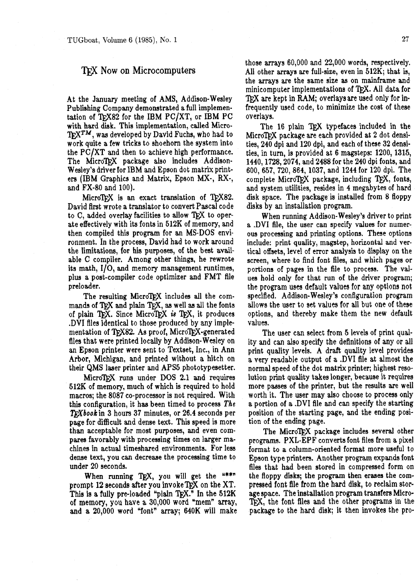## 'QiJ **Now on** Microcomputers

At the January meeting of AMS, Addison-Wesley Publishing Company demonstrated a full implementation of TFX82 for the IBM  $PC/XT$ , or IBM  $PC$ with hard disk. This implementation, called Micro- $T_F X^{TM}$ , was developed by David Fuchs, who had to work quite a few tricks to shoehorn the system into the PC/XT and then to achieve high performance. The MicroTFX package also includes Addison-Wesley's driver for IBM and Epson dot matrix printers (IBM Graphics and Matrix, Epson MX-, RX-, and FX-80 and 100).

MicroTFX is an exact translation of TFX82. David first wrote a translator to convert Pascal code to C, added overlay facilities to allow TEX to operate effectively with its fonts in 512K of memory, and then compiled this program for an MS-DOS environment. In the process, David had to work around the limitations, for his purposes, of the best available C compiler. Among other things, he rewrote its math,  $I/O$ , and memory management runtimes, plus a post-compiler code optimizer and FMT file preloader.

The resulting MicroTFX includes all the commands of TFX and plain TFX, as well as all the fonts of plain TEX. Since MicroTEX is TEX, it produces **.DVI** fllea identical to those produced by any implementation of TEX82. As proof, MicroTEX-generated files that were printed locally by Addison-Wesley on an Epaon printer were sent to Textset, Inc., in Ann Arbor, Michigan, and printed without a hitch on their QMS laser printer and APS5 phototypesetter.

MicroTEX runs under DOS 2.1 and requires 512K of memory, much of which is required to hold macros; the 8087 co-processor is not required. With this configuration, it has been timed to process *The*   $TrX$ book in 3 hours 37 minutes, or 26.4 seconds per page for difficult and dense text. This speed is more than acceptable for most purposes, and even compares favorably with processing times on larger machines in actual timeshared environments. For less dense text, you can decrease the processing time to under 20 seconds.

When running TEX, you will get the  $u***$ prompt 12 seconds after you invoke TFX on the XT. This is a fully pre-loaded "plain TFX." In the  $512K$ of memory, you have a 30,000 word "mem" array, and a 20,000 word "font" array; 640K will make those arrays 60,000 and 22,000 words, respectively. All other arrays are full-size, even in **512K;** that is, the arrays are the same size **as** on mainframe and minicomputer implementations of TFX. All data for T<sub>RX</sub> are kept in RAM; overlays are used only for infrequently used code, to minimize the cost of these overlays.

The 16 plain TFX typefaces included in the MicroTFX package are each provided at 2 dot densities, 240 dpi and 120 dpi, and each of these 32 densities, in turn, is provided at 6 magsteps: 1200, 1315, 1440,1728,2074, and 2488 for the 240 dpi fonts, and 600,657, 720,864,1037, and 1244 for 120 dpi. The complete MicroTFX package, including  $TFX$ , fonts, and system utilities, resides in 4 megabytes of hard disk space. The package is installed from 8 floppy disks by an installation program.

When running Addison- Wesley's driver to print a **.DVI** file, the user can specify values for numerous processing and printing options. These options include: print quality, magstep, horizontal and verticd offsets, level of error analysis to display on the screen, where to find font files, and which pages or portions of pages in the file to process. The **val**ues hold only for that run of the driver program; the program uses default values for any options not specified. Addison-Wesley's configuration program allows the user to set values for all but one of these options, and thereby make them the new default values.

The user can select from 5 levels of print quality and can also specify the definitions of any or all print quality levels. **A** draft quality level provides a very readable output of a **.DVI** file at almost the normal speed of the dot matrix printer; highest resolution print quality takes longer, because it requires more passes of the printer, but the results are well worth it. The user may also choose to process only a portion of a .DVI file and can specify the starting position of the starting page, and the ending position of the ending page.

The MicroTFX package includes several other programs. PXL-EPF converts font files from a pixel format to a column-oriented format more useful to Epson type printers. Another program expands font files that had been stored in compressed form on the floppy disks; the program then erases the compressed font file from the hard disk, to reclaim storage space. The installation program transfers Micro- 'QX, the font **Ales** and the other programs in the package to the hard disk; it then invokes the pro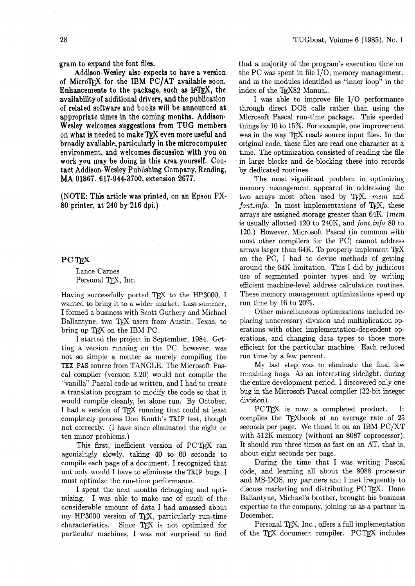gram to expand the font files.

Addison-Wesley also expects to have a version of MicroTFX for the IBM PC/AT available soon. Enhancements to the package, such as IATFX, the availability of additional drivers, and the publication of related software and books will be announced at appropriate times in the coming months. Addison-Wesley welcomes suggestions from TUG members on what is needed to make TFX even more useful and broadly available, particularly in the microcomputer environment, and welcomes discussion with you on work you may be doing in this area yourself. Contact Addison- Wesley Publishing Company, Reading, MA 01867. 617-944-3700, extension 2677.

(NOTE: This article **was** printed, on an Epson FX-80 printer, at 240 by 216 dpi.)

### PC T<sub>E</sub>X

Lance Carnes Personal TFX, Inc.

Having successfully ported TFX to the HP3000, I wanted to bring it to a wider market. Last summer, I formed a business with Scott Guthery and Michael Ballantyne, two TEX users from Austin, Texas, to bring up TFX on the IBM PC.

I started the project in September, 1984. Getting a version running on the PC, however, was not so simple a matter as merely compiling the TEX .PAS source from TANGLE. The Microsoft Pascal compiler (version 3.20) would not compile the "vanilla" Pascal code as written, and I had to create a translation program to modify the code so that it would compile cleanly, let alone run. By October, I had a version of TFX running that could at least completely process Don Knuth's TRIP test, though not correctly. (I have since eliminated the eight or ten minor problems.)

This first, inefficient version of PCTFX ran agonizingly slowly, taking 40 to 60 seconds to compile each page of a document. I recognized that not only would I have to eliminate the TRIP bugs, I must optimize the run-time performance.

I spent the next months debugging and optimizing. I was able to make use of much of the considerable amount of data I had amassed about my HP3000 version of  $T_{E}X$ , particularly run-time characteristics. Since  $T_{F}X$  is not optimized for Since T<sub>F</sub>X is not optimized for particular machines, I was not surprised to find

that a majority of the program's execution time on the PC was spent in file  $I/O$ , memory management, and in the modules identified as "inner loop" in the index of the TFX82 Manual.

I was able to improve file  $I/O$  performance through direct DOS calls rather than using the Microsoft Pascal run-time package. This speeded things by 10 to 15%. For example, one improvement was in the way TFX reads source input files. In the original code, these fles are read one character at a time. The optimization consisted of reading the file in large blocks and de-blocking these into records by dedicated routines.

The most significant problem in optimizing memory management appeared in addressing the two arrays most often used by TFX, mem and  $font\_info$ . In most implementations of TFX, these arrays are assigned storage greater than 64K. (mem is usually allotted 120 to 240K, and font-info 80 to 120.) However, Microsoft Pascal (in common with most other compilers for the PC) cannot address arrays larger than 64K. To properly implement on the PC, I had to devise methods of getting around the 64K limitation. This I did by judicious use of segmented pointer types and by writing efficient machine-level address calculation routines. These memory management optimizations speed up run time by 16 to 20%.

Other miscellaneous optimizations included replacing unnecessary division and multiplication op erations with other implementation-dependent operations, and changing data types to those more efficient for the particular machine. Each reduced run time by a few percent.

My last step was to eliminate the final few remaining bugs. As an interesting sidelight, during the entire development period, I discovered only one bug in the Microsoft Pascal compiler (32-bit integer division).

PCTFX is now a completed product. It compiles the TFX book at an average rate of 25 seconds per page. We timed it on an IBM PC/XT with  $512K$  memory (without an 8087 coprocessor). It should run three times as fast on an AT, that is, about eight seconds per page.

During the time that I was writing Pascal code, and learning all about the 8088 processor and MS-DOS, my partners and I met frequently to discuss marketing and distributing PC T<sub>F</sub>X. Dana Ballantyne, Michael's brother, brought his business expertise to the company, joining us as a partner in December.

Personal TFX, Inc., offers a full implementation of the TFX document compiler. PC TFX includes